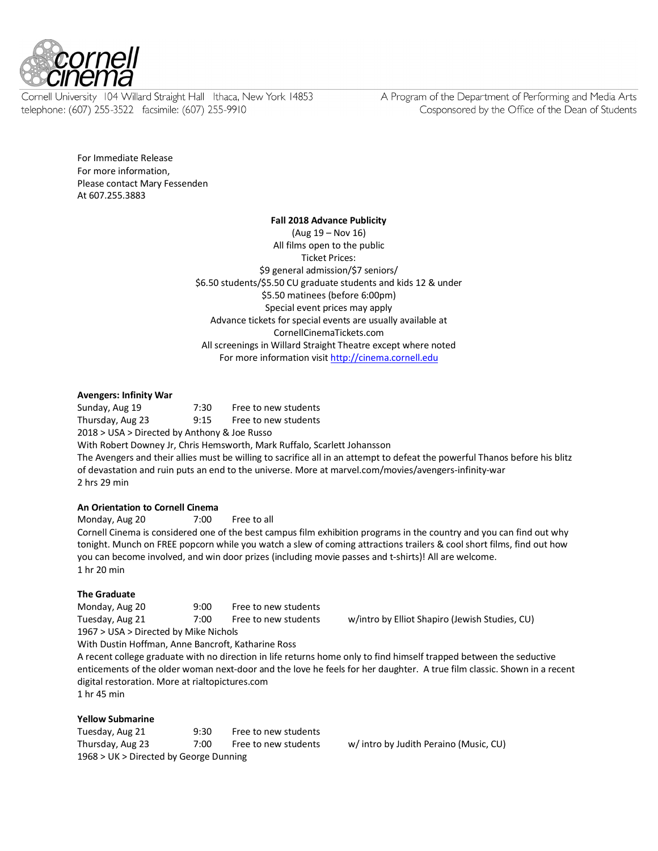

Cornell University 104 Willard Straight Hall Ithaca, New York 14853 telephone: (607) 255-3522 facsimile: (607) 255-9910

A Program of the Department of Performing and Media Arts Cosponsored by the Office of the Dean of Students

For Immediate Release For more information, Please contact Mary Fessenden At 607.255.3883

#### **Fall 2018 Advance Publicity**

(Aug 19 – Nov 16) All films open to the public Ticket Prices: \$9 general admission/\$7 seniors/ \$6.50 students/\$5.50 CU graduate students and kids 12 & under \$5.50 matinees (before 6:00pm) Special event prices may apply Advance tickets for special events are usually available at CornellCinemaTickets.com All screenings in Willard Straight Theatre except where noted For more information visit http://cinema.cornell.edu

### **Avengers: Infinity War**

Sunday, Aug 19 7:30 Free to new students Thursday, Aug 23 9:15 Free to new students 2018 > USA > Directed by Anthony & Joe Russo With Robert Downey Jr, Chris Hemsworth, Mark Ruffalo, Scarlett Johansson The Avengers and their allies must be willing to sacrifice all in an attempt to defeat the powerful Thanos before his blitz of devastation and ruin puts an end to the universe. More at marvel.com/movies/avengers-infinity-war

2 hrs 29 min

**An Orientation to Cornell Cinema**

Monday, Aug 20 7:00 Free to all Cornell Cinema is considered one of the best campus film exhibition programs in the country and you can find out why

tonight. Munch on FREE popcorn while you watch a slew of coming attractions trailers & cool short films, find out how you can become involved, and win door prizes (including movie passes and t-shirts)! All are welcome. 1 hr 20 min

### **The Graduate**

Monday, Aug 20 9:00 Free to new students

1967 > USA > Directed by Mike Nichols

Tuesday, Aug 21 7:00 Free to new students w/intro by Elliot Shapiro (Jewish Studies, CU)

With Dustin Hoffman, Anne Bancroft, Katharine Ross A recent college graduate with no direction in life returns home only to find himself trapped between the seductive enticements of the older woman next-door and the love he feels for her daughter. A true film classic. Shown in a recent digital restoration. More at rialtopictures.com 1 hr 45 min

### **Yellow Submarine**

Tuesday, Aug 21 9:30 Free to new students Thursday, Aug 23 7:00 Free to new students w/ intro by Judith Peraino (Music, CU) 1968 > UK > Directed by George Dunning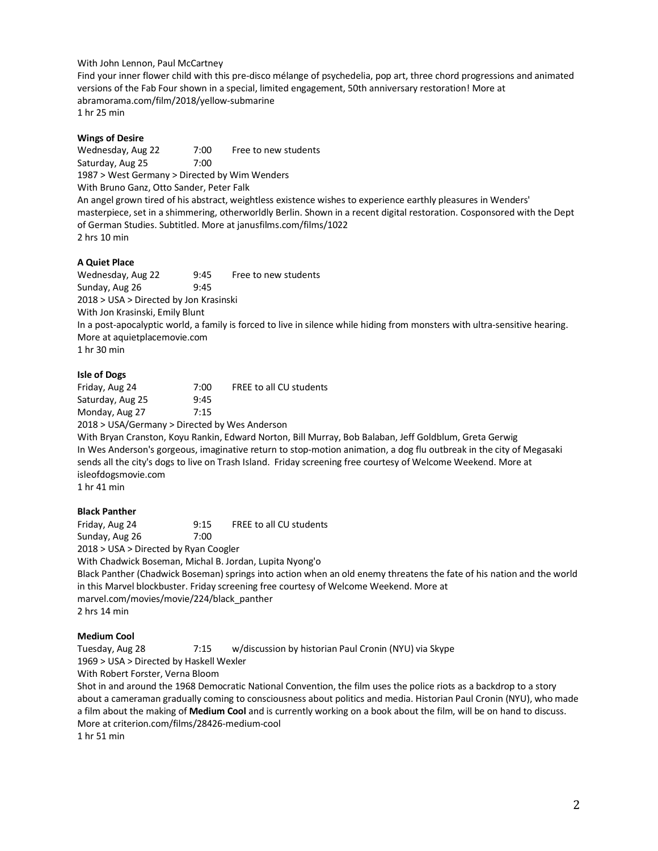With John Lennon, Paul McCartney

Find your inner flower child with this pre-disco mélange of psychedelia, pop art, three chord progressions and animated versions of the Fab Four shown in a special, limited engagement, 50th anniversary restoration! More at abramorama.com/film/2018/yellow-submarine 1 hr 25 min

### **Wings of Desire**

Wednesday, Aug 22 7:00 Free to new students Saturday, Aug 25 7:00 1987 > West Germany > Directed by Wim Wenders With Bruno Ganz, Otto Sander, Peter Falk An angel grown tired of his abstract, weightless existence wishes to experience earthly pleasures in Wenders' masterpiece, set in a shimmering, otherworldly Berlin. Shown in a recent digital restoration. Cosponsored with the Dept of German Studies. Subtitled. More at janusfilms.com/films/1022 2 hrs 10 min

### **A Quiet Place**

Wednesday, Aug 22 9:45 Free to new students Sunday, Aug 26 9:45 2018 > USA > Directed by Jon Krasinski With Jon Krasinski, Emily Blunt In a post-apocalyptic world, a family is forced to live in silence while hiding from monsters with ultra-sensitive hearing. More at aquietplacemovie.com 1 hr 30 min

### **Isle of Dogs**

| Friday, Aug 24   | 7:00 | FREE to all CU students |
|------------------|------|-------------------------|
| Saturday, Aug 25 | 9:45 |                         |
| Monday, Aug 27   | 7:15 |                         |

2018 > USA/Germany > Directed by Wes Anderson

With Bryan Cranston, Koyu Rankin, Edward Norton, Bill Murray, Bob Balaban, Jeff Goldblum, Greta Gerwig In Wes Anderson's gorgeous, imaginative return to stop-motion animation, a dog flu outbreak in the city of Megasaki sends all the city's dogs to live on Trash Island. Friday screening free courtesy of Welcome Weekend. More at isleofdogsmovie.com

1 hr 41 min

# **Black Panther**

Friday, Aug 24 9:15 FREE to all CU students Sunday, Aug 26 7:00

2018 > USA > Directed by Ryan Coogler

With Chadwick Boseman, Michal B. Jordan, Lupita Nyong'o

Black Panther (Chadwick Boseman) springs into action when an old enemy threatens the fate of his nation and the world in this Marvel blockbuster. Friday screening free courtesy of Welcome Weekend. More at marvel.com/movies/movie/224/black\_panther 2 hrs 14 min

# **Medium Cool**

Tuesday, Aug 28 7:15 w/discussion by historian Paul Cronin (NYU) via Skype

1969 > USA > Directed by Haskell Wexler

With Robert Forster, Verna Bloom

Shot in and around the 1968 Democratic National Convention, the film uses the police riots as a backdrop to a story about a cameraman gradually coming to consciousness about politics and media. Historian Paul Cronin (NYU), who made a film about the making of **Medium Cool** and is currently working on a book about the film, will be on hand to discuss. More at criterion.com/films/28426-medium-cool

1 hr 51 min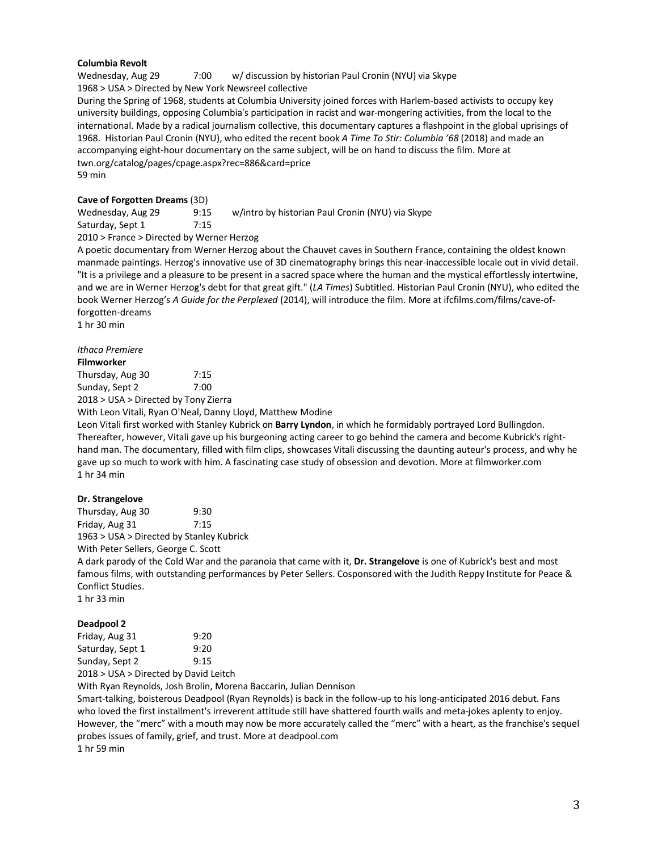### **Columbia Revolt**

Wednesday, Aug 29 7:00 w/ discussion by historian Paul Cronin (NYU) via Skype 1968 > USA > Directed by New York Newsreel collective During the Spring of 1968, students at Columbia University joined forces with Harlem-based activists to occupy key university buildings, opposing Columbia's participation in racist and war-mongering activities, from the local to the international. Made by a radical journalism collective, this documentary captures a flashpoint in the global uprisings of 1968. Historian Paul Cronin (NYU), who edited the recent book *A Time To Stir: Columbia '68* (2018) and made an accompanying eight-hour documentary on the same subject, will be on hand to discuss the film. More at twn.org/catalog/pages/cpage.aspx?rec=886&card=price 59 min

### **Cave of Forgotten Dreams** (3D)

Wednesday, Aug 29 9:15 w/intro by historian Paul Cronin (NYU) via Skype Saturday, Sept 1 7:15 2010 > France > Directed by Werner Herzog

A poetic documentary from Werner Herzog about the Chauvet caves in Southern France, containing the oldest known manmade paintings. Herzog's innovative use of 3D cinematography brings this near-inaccessible locale out in vivid detail. "It is a privilege and a pleasure to be present in a sacred space where the human and the mystical effortlessly intertwine, and we are in Werner Herzog's debt for that great gift." (*LA Times*) Subtitled. Historian Paul Cronin (NYU), who edited the book Werner Herzog's *A Guide for the Perplexed* (2014), will introduce the film. More at ifcfilms.com/films/cave-offorgotten-dreams

1 hr 30 min

#### *Ithaca Premiere*

#### **Filmworker**

| Thursday, Aug 30 | 7:15 |
|------------------|------|
| Sunday, Sept 2   | 7:00 |

2018 > USA > Directed by Tony Zierra

With Leon Vitali, Ryan O'Neal, Danny Lloyd, Matthew Modine

Leon Vitali first worked with Stanley Kubrick on **Barry Lyndon**, in which he formidably portrayed Lord Bullingdon. Thereafter, however, Vitali gave up his burgeoning acting career to go behind the camera and become Kubrick's righthand man. The documentary, filled with film clips, showcases Vitali discussing the daunting auteur's process, and why he gave up so much to work with him. A fascinating case study of obsession and devotion. More at filmworker.com 1 hr 34 min

### **Dr. Strangelove**

Thursday, Aug 30 9:30 Friday, Aug 31 7:15 1963 > USA > Directed by Stanley Kubrick

With Peter Sellers, George C. Scott

A dark parody of the Cold War and the paranoia that came with it, **Dr. Strangelove** is one of Kubrick's best and most famous films, with outstanding performances by Peter Sellers. Cosponsored with the Judith Reppy Institute for Peace & Conflict Studies.

1 hr 33 min

### **Deadpool 2**

| Friday, Aug 31   | 9:20 |
|------------------|------|
| Saturday, Sept 1 | 9:20 |
| Sunday, Sept 2   | 9:15 |
|                  | .    |

2018 > USA > Directed by David Leitch

With Ryan Reynolds, Josh Brolin, Morena Baccarin, Julian Dennison

Smart-talking, boisterous Deadpool (Ryan Reynolds) is back in the follow-up to his long-anticipated 2016 debut. Fans who loved the first installment's irreverent attitude still have shattered fourth walls and meta-jokes aplenty to enjoy. However, the "merc" with a mouth may now be more accurately called the "merc" with a heart, as the franchise's sequel probes issues of family, grief, and trust. More at deadpool.com

1 hr 59 min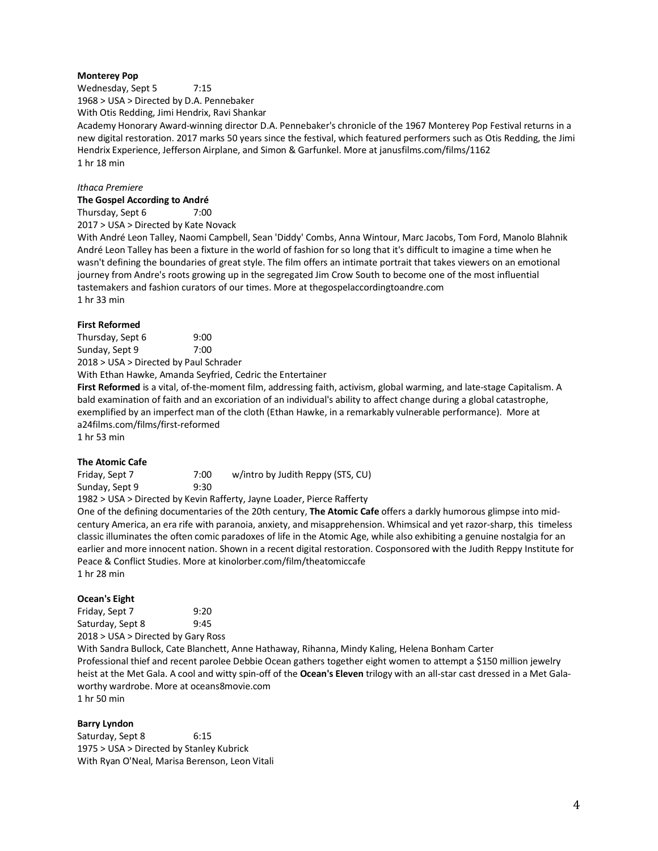### **Monterey Pop**

Wednesday, Sept 5 7:15 1968 > USA > Directed by D.A. Pennebaker

With Otis Redding, Jimi Hendrix, Ravi Shankar

Academy Honorary Award-winning director D.A. Pennebaker's chronicle of the 1967 Monterey Pop Festival returns in a new digital restoration. 2017 marks 50 years since the festival, which featured performers such as Otis Redding, the Jimi Hendrix Experience, Jefferson Airplane, and Simon & Garfunkel. More at janusfilms.com/films/1162 1 hr 18 min

### *Ithaca Premiere*

# **The Gospel According to André**

Thursday, Sept 6 7:00

2017 > USA > Directed by Kate Novack

With André Leon Talley, Naomi Campbell, Sean 'Diddy' Combs, Anna Wintour, Marc Jacobs, Tom Ford, Manolo Blahnik André Leon Talley has been a fixture in the world of fashion for so long that it's difficult to imagine a time when he wasn't defining the boundaries of great style. The film offers an intimate portrait that takes viewers on an emotional journey from Andre's roots growing up in the segregated Jim Crow South to become one of the most influential tastemakers and fashion curators of our times. More at thegospelaccordingtoandre.com 1 hr 33 min

### **First Reformed**

| Thursday, Sept 6 | 9:00 |
|------------------|------|
| Sunday, Sept 9   | 7:00 |

2018 > USA > Directed by Paul Schrader

With Ethan Hawke, Amanda Seyfried, Cedric the Entertainer

**First Reformed** is a vital, of-the-moment film, addressing faith, activism, global warming, and late-stage Capitalism. A bald examination of faith and an excoriation of an individual's ability to affect change during a global catastrophe, exemplified by an imperfect man of the cloth (Ethan Hawke, in a remarkably vulnerable performance). More at a24films.com/films/first-reformed 1 hr 53 min

### **The Atomic Cafe**

Friday, Sept 7 7:00 w/intro by Judith Reppy (STS, CU) Sunday, Sept 9 9:30

1982 > USA > Directed by Kevin Rafferty, Jayne Loader, Pierce Rafferty

One of the defining documentaries of the 20th century, **The Atomic Cafe** offers a darkly humorous glimpse into midcentury America, an era rife with paranoia, anxiety, and misapprehension. Whimsical and yet razor-sharp, this timeless classic illuminates the often comic paradoxes of life in the Atomic Age, while also exhibiting a genuine nostalgia for an earlier and more innocent nation. Shown in a recent digital restoration. Cosponsored with the Judith Reppy Institute for Peace & Conflict Studies. More at kinolorber.com/film/theatomiccafe 1 hr 28 min

### **Ocean's Eight**

Friday, Sept 7 9:20 Saturday, Sept 8 9:45 2018 > USA > Directed by Gary Ross With Sandra Bullock, Cate Blanchett, Anne Hathaway, Rihanna, Mindy Kaling, Helena Bonham Carter Professional thief and recent parolee Debbie Ocean gathers together eight women to attempt a \$150 million jewelry heist at the Met Gala. A cool and witty spin-off of the **Ocean's Eleven** trilogy with an all-star cast dressed in a Met Galaworthy wardrobe. More at oceans8movie.com 1 hr 50 min

# **Barry Lyndon**

Saturday, Sept 8 6:15 1975 > USA > Directed by Stanley Kubrick With Ryan O'Neal, Marisa Berenson, Leon Vitali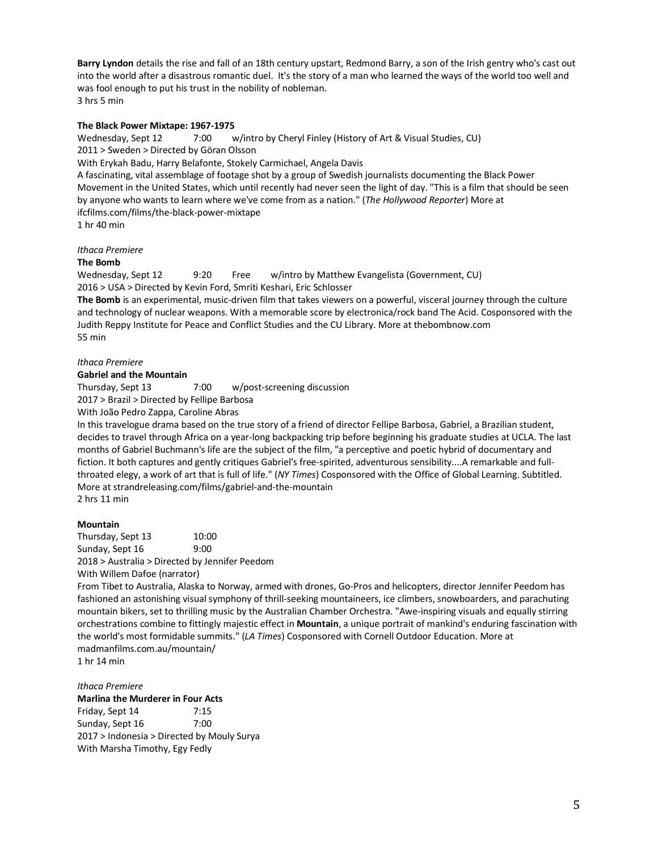**Barry Lyndon** details the rise and fall of an 18th century upstart, Redmond Barry, a son of the Irish gentry who's cast out into the world after a disastrous romantic duel. It's the story of a man who learned the ways of the world too well and was fool enough to put his trust in the nobility of nobleman. 3 hrs 5 min

### **The Black Power Mixtape: 1967-1975**

Wednesday, Sept 12 7:00 w/intro by Cheryl Finley (History of Art & Visual Studies, CU) 2011 > Sweden > Directed by Göran Olsson

With Erykah Badu, Harry Belafonte, Stokely Carmichael, Angela Davis

A fascinating, vital assemblage of footage shot by a group of Swedish journalists documenting the Black Power Movement in the United States, which until recently had never seen the light of day. "This is a film that should be seen by anyone who wants to learn where we've come from as a nation." (*The Hollywood Reporter*) More at ifcfilms.com/films/the-black-power-mixtape

1 hr 40 min

### *Ithaca Premiere*

**The Bomb**

Wednesday, Sept 12 9:20 Free w/intro by Matthew Evangelista (Government, CU) 2016 > USA > Directed by Kevin Ford, Smriti Keshari, Eric Schlosser

**The Bomb** is an experimental, music-driven film that takes viewers on a powerful, visceral journey through the culture and technology of nuclear weapons. With a memorable score by electronica/rock band The Acid. Cosponsored with the Judith Reppy Institute for Peace and Conflict Studies and the CU Library. More at thebombnow.com 55 min

#### *Ithaca Premiere*

**Gabriel and the Mountain**

Thursday, Sept 13 7:00 w/post-screening discussion

2017 > Brazil > Directed by Fellipe Barbosa

With João Pedro Zappa, Caroline Abras

In this travelogue drama based on the true story of a friend of director Fellipe Barbosa, Gabriel, a Brazilian student, decides to travel through Africa on a year-long backpacking trip before beginning his graduate studies at UCLA. The last months of Gabriel Buchmann's life are the subject of the film, "a perceptive and poetic hybrid of documentary and fiction. It both captures and gently critiques Gabriel's free-spirited, adventurous sensibility....A remarkable and fullthroated elegy, a work of art that is full of life." (*NY Times*) Cosponsored with the Office of Global Learning. Subtitled. More at strandreleasing.com/films/gabriel-and-the-mountain 2 hrs 11 min

### **Mountain**

Thursday, Sept 13 10:00 Sunday, Sept 16 9:00 2018 > Australia > Directed by Jennifer Peedom With Willem Dafoe (narrator)

From Tibet to Australia, Alaska to Norway, armed with drones, Go-Pros and helicopters, director Jennifer Peedom has fashioned an astonishing visual symphony of thrill-seeking mountaineers, ice climbers, snowboarders, and parachuting mountain bikers, set to thrilling music by the Australian Chamber Orchestra. "Awe-inspiring visuals and equally stirring orchestrations combine to fittingly majestic effect in **Mountain**, a unique portrait of mankind's enduring fascination with the world's most formidable summits." (*LA Times*) Cosponsored with Cornell Outdoor Education. More at madmanfilms.com.au/mountain/

1 hr 14 min

*Ithaca Premiere* **Marlina the Murderer in Four Acts** Friday, Sept 14 7:15 Sunday, Sept 16 7:00 2017 > Indonesia > Directed by Mouly Surya With Marsha Timothy, Egy Fedly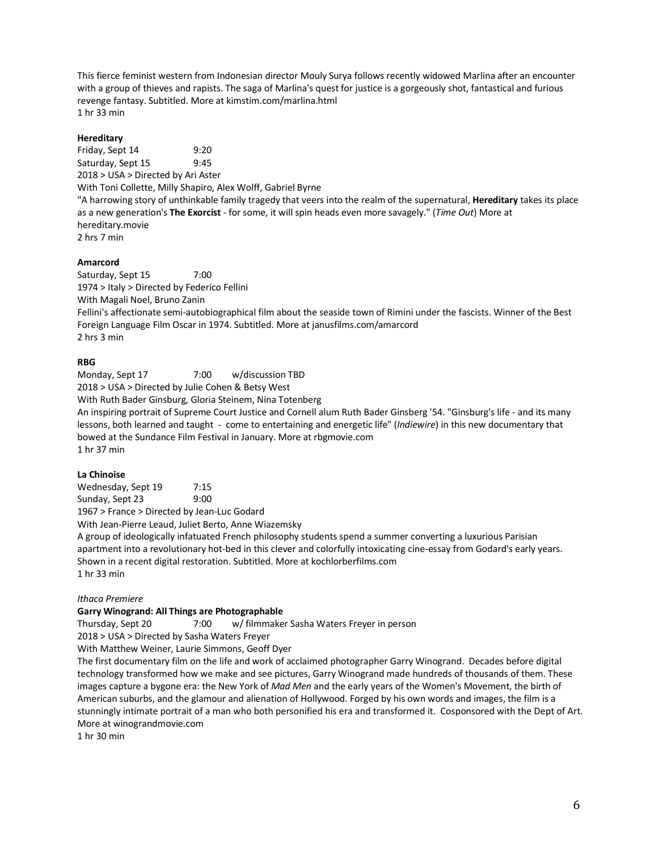This fierce feminist western from Indonesian director Mouly Surya follows recently widowed Marlina after an encounter with a group of thieves and rapists. The saga of Marlina's quest for justice is a gorgeously shot, fantastical and furious revenge fantasy. Subtitled. More at kimstim.com/marlina.html 1 hr 33 min

### **Hereditary**

Friday, Sept 14 9:20 Saturday, Sept 15 9:45 2018 > USA > Directed by Ari Aster With Toni Collette, Milly Shapiro, Alex Wolff, Gabriel Byrne "A harrowing story of unthinkable family tragedy that veers into the realm of the supernatural, **Hereditary** takes its place as a new generation's **The Exorcist** - for some, it will spin heads even more savagely." (*Time Out*) More at hereditary.movie 2 hrs 7 min

### **Amarcord**

Saturday, Sept 15 7:00 1974 > Italy > Directed by Federico Fellini With Magali Noel, Bruno Zanin Fellini's affectionate semi-autobiographical film about the seaside town of Rimini under the fascists. Winner of the Best Foreign Language Film Oscar in 1974. Subtitled. More at janusfilms.com/amarcord 2 hrs 3 min

### **RBG**

Monday, Sept 17 7:00 w/discussion TBD 2018 > USA > Directed by Julie Cohen & Betsy West With Ruth Bader Ginsburg, Gloria Steinem, Nina Totenberg An inspiring portrait of Supreme Court Justice and Cornell alum Ruth Bader Ginsberg '54. "Ginsburg's life - and its many lessons, both learned and taught - come to entertaining and energetic life" (*Indiewire*) in this new documentary that bowed at the Sundance Film Festival in January. More at rbgmovie.com 1 hr 37 min

### **La Chinoise**

Wednesday, Sept 19 7:15 Sunday, Sept 23 9:00 1967 > France > Directed by Jean-Luc Godard

With Jean-Pierre Leaud, Juliet Berto, Anne Wiazemsky

A group of ideologically infatuated French philosophy students spend a summer converting a luxurious Parisian apartment into a revolutionary hot-bed in this clever and colorfully intoxicating cine-essay from Godard's early years. Shown in a recent digital restoration. Subtitled. More at kochlorberfilms.com 1 hr 33 min

### *Ithaca Premiere*

### **Garry Winogrand: All Things are Photographable**

Thursday, Sept 20 7:00 w/ filmmaker Sasha Waters Freyer in person 2018 > USA > Directed by Sasha Waters Freyer

With Matthew Weiner, Laurie Simmons, Geoff Dyer

The first documentary film on the life and work of acclaimed photographer Garry Winogrand. Decades before digital technology transformed how we make and see pictures, Garry Winogrand made hundreds of thousands of them. These images capture a bygone era: the New York of *Mad Men* and the early years of the Women's Movement, the birth of American suburbs, and the glamour and alienation of Hollywood. Forged by his own words and images, the film is a stunningly intimate portrait of a man who both personified his era and transformed it. Cosponsored with the Dept of Art. More at winograndmovie.com

1 hr 30 min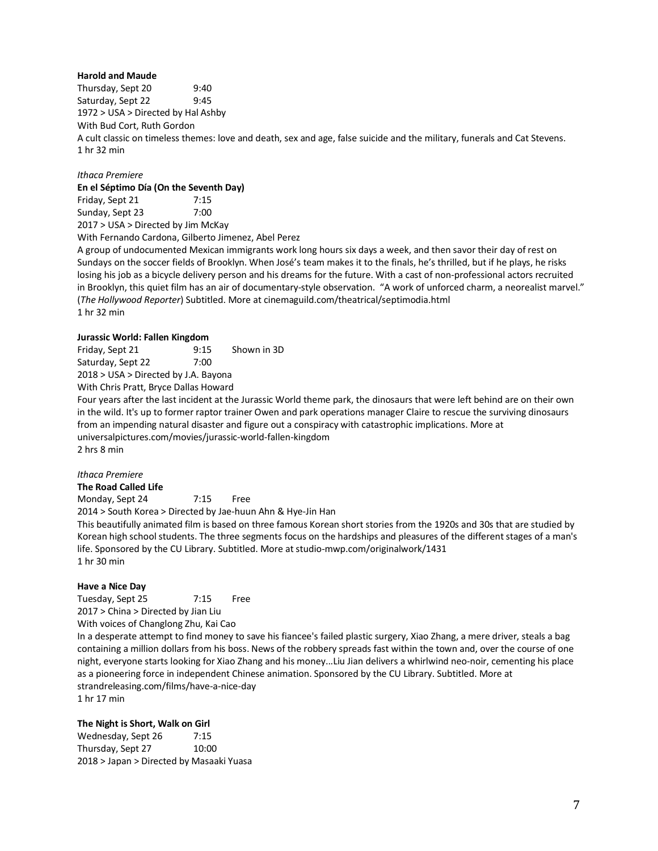### **Harold and Maude**

Thursday, Sept 20 9:40 Saturday, Sept 22 9:45 1972 > USA > Directed by Hal Ashby With Bud Cort, Ruth Gordon A cult classic on timeless themes: love and death, sex and age, false suicide and the military, funerals and Cat Stevens. 1 hr 32 min

# *Ithaca Premiere*

**En el Séptimo Día (On the Seventh Day)**

Friday, Sept 21 7:15 Sunday, Sept 23 7:00 2017 > USA > Directed by Jim McKay

With Fernando Cardona, Gilberto Jimenez, Abel Perez

A group of undocumented Mexican immigrants work long hours six days a week, and then savor their day of rest on Sundays on the soccer fields of Brooklyn. When José's team makes it to the finals, he's thrilled, but if he plays, he risks losing his job as a bicycle delivery person and his dreams for the future. With a cast of non-professional actors recruited in Brooklyn, this quiet film has an air of documentary-style observation. "A work of unforced charm, a neorealist marvel." (*The Hollywood Reporter*) Subtitled. More at cinemaguild.com/theatrical/septimodia.html 1 hr 32 min

### **Jurassic World: Fallen Kingdom**

Friday, Sept 21 9:15 Shown in 3D Saturday, Sept 22 7:00 2018 > USA > Directed by J.A. Bayona With Chris Pratt, Bryce Dallas Howard

Four years after the last incident at the Jurassic World theme park, the dinosaurs that were left behind are on their own in the wild. It's up to former raptor trainer Owen and park operations manager Claire to rescue the surviving dinosaurs from an impending natural disaster and figure out a conspiracy with catastrophic implications. More at universalpictures.com/movies/jurassic-world-fallen-kingdom 2 hrs 8 min

### *Ithaca Premiere*

**The Road Called Life**

Monday, Sept 24 7:15 Free

2014 > South Korea > Directed by Jae-huun Ahn & Hye-Jin Han

This beautifully animated film is based on three famous Korean short stories from the 1920s and 30s that are studied by Korean high school students. The three segments focus on the hardships and pleasures of the different stages of a man's life. Sponsored by the CU Library. Subtitled. More at studio-mwp.com/originalwork/1431 1 hr 30 min

# **Have a Nice Day**

Tuesday, Sept 25 7:15 Free 2017 > China > Directed by Jian Liu

With voices of Changlong Zhu, Kai Cao

In a desperate attempt to find money to save his fiancee's failed plastic surgery, Xiao Zhang, a mere driver, steals a bag containing a million dollars from his boss. News of the robbery spreads fast within the town and, over the course of one night, everyone starts looking for Xiao Zhang and his money...Liu Jian delivers a whirlwind neo-noir, cementing his place as a pioneering force in independent Chinese animation. Sponsored by the CU Library. Subtitled. More at strandreleasing.com/films/have-a-nice-day 1 hr 17 min

### **The Night is Short, Walk on Girl**

Wednesday, Sept 26 7:15 Thursday, Sept 27 10:00 2018 > Japan > Directed by Masaaki Yuasa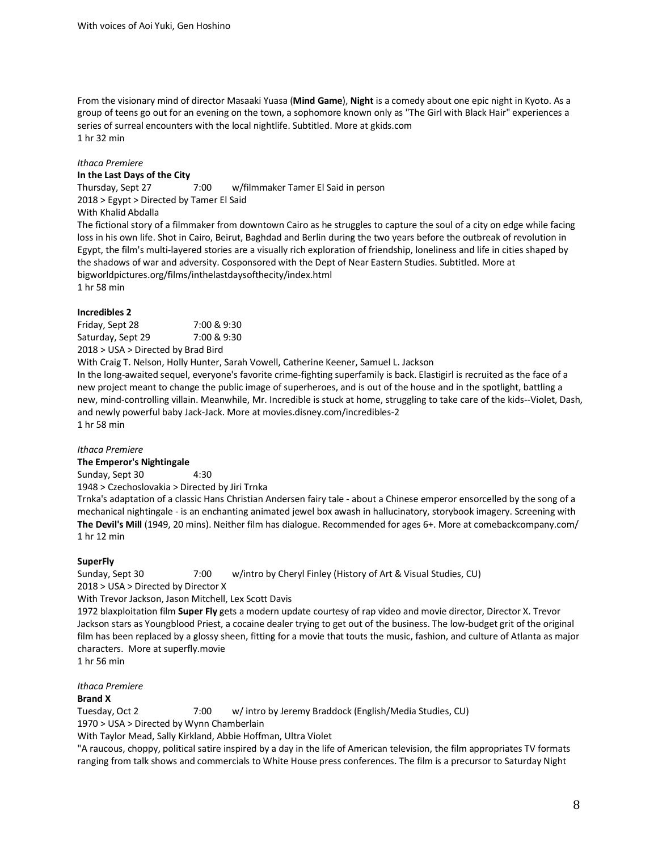From the visionary mind of director Masaaki Yuasa (**Mind Game**), **Night** is a comedy about one epic night in Kyoto. As a group of teens go out for an evening on the town, a sophomore known only as "The Girl with Black Hair" experiences a series of surreal encounters with the local nightlife. Subtitled. More at gkids.com 1 hr 32 min

#### *Ithaca Premiere*

**In the Last Days of the City** Thursday, Sept 27 7:00 w/filmmaker Tamer El Said in person 2018 > Egypt > Directed by Tamer El Said With Khalid Abdalla

The fictional story of a filmmaker from downtown Cairo as he struggles to capture the soul of a city on edge while facing loss in his own life. Shot in Cairo, Beirut, Baghdad and Berlin during the two years before the outbreak of revolution in Egypt, the film's multi-layered stories are a visually rich exploration of friendship, loneliness and life in cities shaped by the shadows of war and adversity. Cosponsored with the Dept of Near Eastern Studies. Subtitled. More at bigworldpictures.org/films/inthelastdaysofthecity/index.html 1 hr 58 min

### **Incredibles 2**

Friday, Sept 28 7:00 & 9:30 Saturday, Sept 29 7:00 & 9:30 2018 > USA > Directed by Brad Bird

With Craig T. Nelson, Holly Hunter, Sarah Vowell, Catherine Keener, Samuel L. Jackson In the long-awaited sequel, everyone's favorite crime-fighting superfamily is back. Elastigirl is recruited as the face of a new project meant to change the public image of superheroes, and is out of the house and in the spotlight, battling a new, mind-controlling villain. Meanwhile, Mr. Incredible is stuck at home, struggling to take care of the kids--Violet, Dash, and newly powerful baby Jack-Jack. More at movies.disney.com/incredibles-2 1 hr 58 min

# *Ithaca Premiere*

**The Emperor's Nightingale**

Sunday, Sept 30 4:30 1948 > Czechoslovakia > Directed by Jiri Trnka

Trnka's adaptation of a classic Hans Christian Andersen fairy tale - about a Chinese emperor ensorcelled by the song of a mechanical nightingale - is an enchanting animated jewel box awash in hallucinatory, storybook imagery. Screening with **The Devil's Mill** (1949, 20 mins). Neither film has dialogue. Recommended for ages 6+. More at comebackcompany.com/ 1 hr 12 min

### **SuperFly**

Sunday, Sept 30 7:00 w/intro by Cheryl Finley (History of Art & Visual Studies, CU)

2018 > USA > Directed by Director X With Trevor Jackson, Jason Mitchell, Lex Scott Davis

1972 blaxploitation film **Super Fly** gets a modern update courtesy of rap video and movie director, Director X. Trevor Jackson stars as Youngblood Priest, a cocaine dealer trying to get out of the business. The low-budget grit of the original film has been replaced by a glossy sheen, fitting for a movie that touts the music, fashion, and culture of Atlanta as major characters. More at superfly.movie

1 hr 56 min

*Ithaca Premiere* **Brand X**

Tuesday, Oct 2 7:00 w/ intro by Jeremy Braddock (English/Media Studies, CU) 1970 > USA > Directed by Wynn Chamberlain

With Taylor Mead, Sally Kirkland, Abbie Hoffman, Ultra Violet

"A raucous, choppy, political satire inspired by a day in the life of American television, the film appropriates TV formats ranging from talk shows and commercials to White House press conferences. The film is a precursor to Saturday Night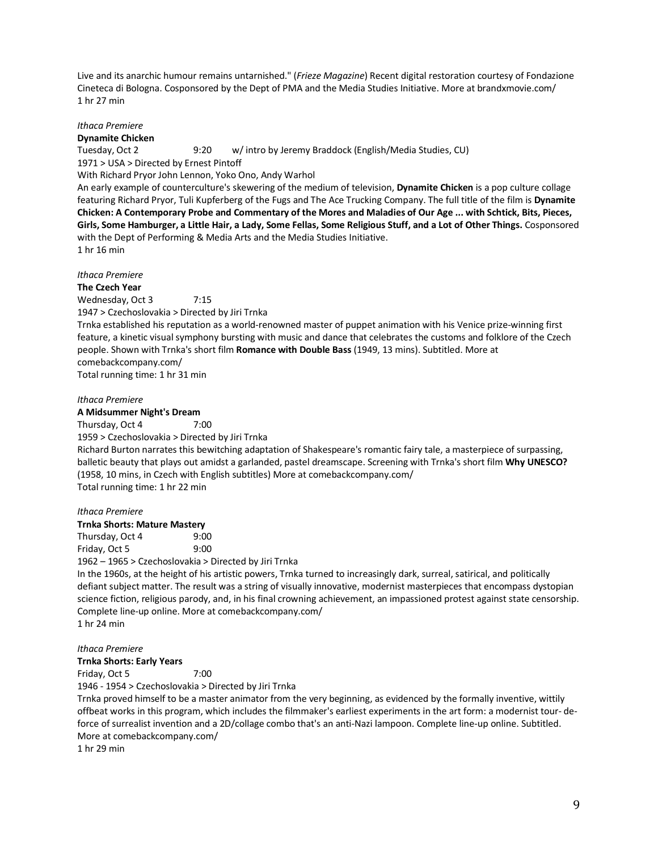Live and its anarchic humour remains untarnished." (*Frieze Magazine*) Recent digital restoration courtesy of Fondazione Cineteca di Bologna. Cosponsored by the Dept of PMA and the Media Studies Initiative. More at brandxmovie.com/ 1 hr 27 min

*Ithaca Premiere*

**Dynamite Chicken**

Tuesday, Oct 2 9:20 w/ intro by Jeremy Braddock (English/Media Studies, CU) 1971 > USA > Directed by Ernest Pintoff With Richard Pryor John Lennon, Yoko Ono, Andy Warhol

An early example of counterculture's skewering of the medium of television, **Dynamite Chicken** is a pop culture collage featuring Richard Pryor, Tuli Kupferberg of the Fugs and The Ace Trucking Company. The full title of the film is **Dynamite Chicken: A Contemporary Probe and Commentary of the Mores and Maladies of Our Age ... with Schtick, Bits, Pieces, Girls, Some Hamburger, a Little Hair, a Lady, Some Fellas, Some Religious Stuff, and a Lot of Other Things.** Cosponsored with the Dept of Performing & Media Arts and the Media Studies Initiative. 1 hr 16 min

*Ithaca Premiere*

### **The Czech Year**

Wednesday, Oct 3 7:15

1947 > Czechoslovakia > Directed by Jiri Trnka

Trnka established his reputation as a world-renowned master of puppet animation with his Venice prize-winning first feature, a kinetic visual symphony bursting with music and dance that celebrates the customs and folklore of the Czech people. Shown with Trnka's short film **Romance with Double Bass** (1949, 13 mins). Subtitled. More at comebackcompany.com/

Total running time: 1 hr 31 min

### *Ithaca Premiere*

### **A Midsummer Night's Dream**

Thursday, Oct 4 7:00

1959 > Czechoslovakia > Directed by Jiri Trnka

Richard Burton narrates this bewitching adaptation of Shakespeare's romantic fairy tale, a masterpiece of surpassing, balletic beauty that plays out amidst a garlanded, pastel dreamscape. Screening with Trnka's short film **Why UNESCO?** (1958, 10 mins, in Czech with English subtitles) More at comebackcompany.com/ Total running time: 1 hr 22 min

### *Ithaca Premiere*

**Trnka Shorts: Mature Mastery**

Thursday, Oct 4 9:00 Friday, Oct 5 9:00

1962 – 1965 > Czechoslovakia > Directed by Jiri Trnka

In the 1960s, at the height of his artistic powers, Trnka turned to increasingly dark, surreal, satirical, and politically defiant subject matter. The result was a string of visually innovative, modernist masterpieces that encompass dystopian science fiction, religious parody, and, in his final crowning achievement, an impassioned protest against state censorship. Complete line-up online. More at comebackcompany.com/ 1 hr 24 min

### *Ithaca Premiere*

### **Trnka Shorts: Early Years**

Friday, Oct 5 7:00

1946 - 1954 > Czechoslovakia > Directed by Jiri Trnka

Trnka proved himself to be a master animator from the very beginning, as evidenced by the formally inventive, wittily offbeat works in this program, which includes the filmmaker's earliest experiments in the art form: a modernist tour- deforce of surrealist invention and a 2D/collage combo that's an anti-Nazi lampoon. Complete line-up online. Subtitled. More at comebackcompany.com/

1 hr 29 min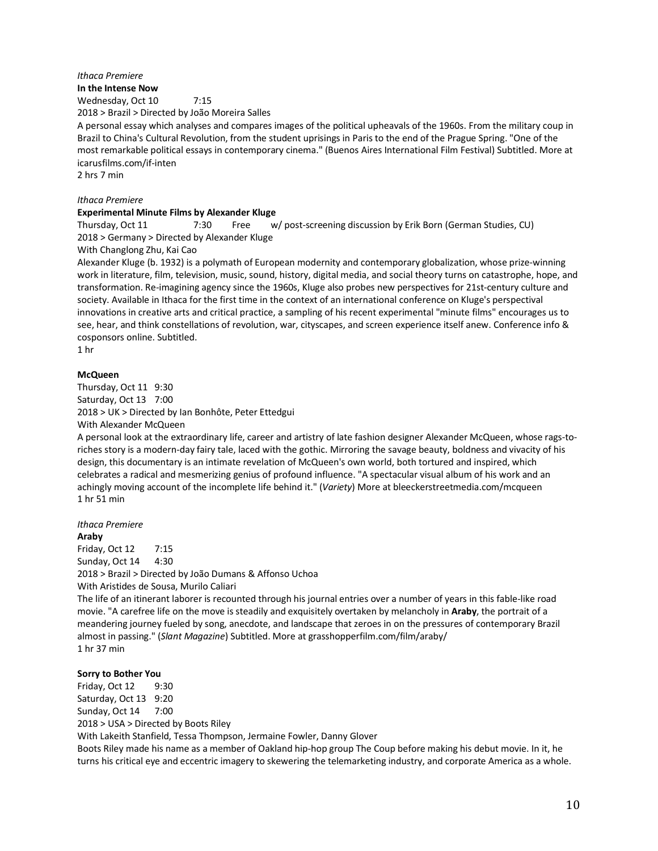#### *Ithaca Premiere*

**In the Intense Now**

Wednesday, Oct 10 7:15

2018 > Brazil > Directed by João Moreira Salles

A personal essay which analyses and compares images of the political upheavals of the 1960s. From the military coup in Brazil to China's Cultural Revolution, from the student uprisings in Paris to the end of the Prague Spring. "One of the most remarkable political essays in contemporary cinema." (Buenos Aires International Film Festival) Subtitled. More at icarusfilms.com/if-inten

2 hrs 7 min

### *Ithaca Premiere*

#### **Experimental Minute Films by Alexander Kluge**

Thursday, Oct 11 7:30 Free w/ post-screening discussion by Erik Born (German Studies, CU) 2018 > Germany > Directed by Alexander Kluge

### With Changlong Zhu, Kai Cao

Alexander Kluge (b. 1932) is a polymath of European modernity and contemporary globalization, whose prize-winning work in literature, film, television, music, sound, history, digital media, and social theory turns on catastrophe, hope, and transformation. Re-imagining agency since the 1960s, Kluge also probes new perspectives for 21st-century culture and society. Available in Ithaca for the first time in the context of an international conference on Kluge's perspectival innovations in creative arts and critical practice, a sampling of his recent experimental "minute films" encourages us to see, hear, and think constellations of revolution, war, cityscapes, and screen experience itself anew. Conference info & cosponsors online. Subtitled.

1 hr

### **McQueen**

Thursday, Oct 11 9:30 Saturday, Oct 13 7:00 2018 > UK > Directed by Ian Bonhôte, Peter Ettedgui With Alexander McQueen

A personal look at the extraordinary life, career and artistry of late fashion designer Alexander McQueen, whose rags-toriches story is a modern-day fairy tale, laced with the gothic. Mirroring the savage beauty, boldness and vivacity of his design, this documentary is an intimate revelation of McQueen's own world, both tortured and inspired, which celebrates a radical and mesmerizing genius of profound influence. "A spectacular visual album of his work and an achingly moving account of the incomplete life behind it." (*Variety*) More at bleeckerstreetmedia.com/mcqueen 1 hr 51 min

*Ithaca Premiere* **Araby**

Friday, Oct 12 7:15 Sunday, Oct 14 4:30 2018 > Brazil > Directed by João Dumans & Affonso Uchoa With Aristides de Sousa, Murilo Caliari

The life of an itinerant laborer is recounted through his journal entries over a number of years in this fable-like road movie. "A carefree life on the move is steadily and exquisitely overtaken by melancholy in **Araby**, the portrait of a meandering journey fueled by song, anecdote, and landscape that zeroes in on the pressures of contemporary Brazil almost in passing." (*Slant Magazine*) Subtitled. More at grasshopperfilm.com/film/araby/ 1 hr 37 min

### **Sorry to Bother You**

Friday, Oct 12 9:30 Saturday, Oct 13 9:20 Sunday, Oct 14 7:00 2018 > USA > Directed by Boots Riley With Lakeith Stanfield, Tessa Thompson, Jermaine Fowler, Danny Glover Boots Riley made his name as a member of Oakland hip-hop group The Coup before making his debut movie. In it, he turns his critical eye and eccentric imagery to skewering the telemarketing industry, and corporate America as a whole.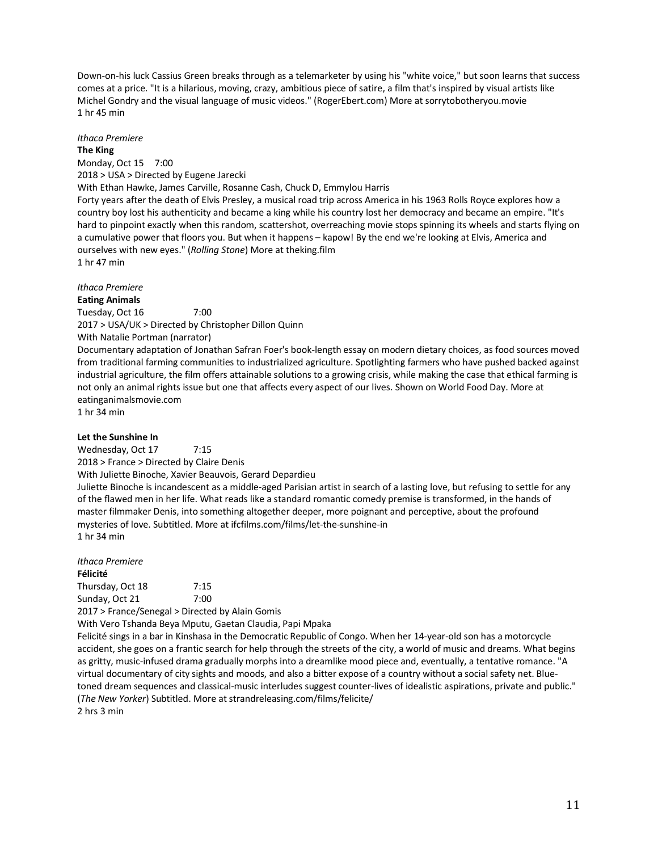Down-on-his luck Cassius Green breaks through as a telemarketer by using his "white voice," but soon learns that success comes at a price. "It is a hilarious, moving, crazy, ambitious piece of satire, a film that's inspired by visual artists like Michel Gondry and the visual language of music videos." (RogerEbert.com) More at sorrytobotheryou.movie 1 hr 45 min

# *Ithaca Premiere*

#### **The King**

Monday, Oct 15 7:00 2018 > USA > Directed by Eugene Jarecki With Ethan Hawke, James Carville, Rosanne Cash, Chuck D, Emmylou Harris Forty years after the death of Elvis Presley, a musical road trip across America in his 1963 Rolls Royce explores how a country boy lost his authenticity and became a king while his country lost her democracy and became an empire. "It's hard to pinpoint exactly when this random, scattershot, overreaching movie stops spinning its wheels and starts flying on a cumulative power that floors you. But when it happens – kapow! By the end we're looking at Elvis, America and ourselves with new eyes." (*Rolling Stone*) More at theking.film 1 hr 47 min

# *Ithaca Premiere*

**Eating Animals** Tuesday, Oct 16 7:00 2017 > USA/UK > Directed by Christopher Dillon Quinn With Natalie Portman (narrator)

Documentary adaptation of Jonathan Safran Foer's book-length essay on modern dietary choices, as food sources moved from traditional farming communities to industrialized agriculture. Spotlighting farmers who have pushed backed against industrial agriculture, the film offers attainable solutions to a growing crisis, while making the case that ethical farming is not only an animal rights issue but one that affects every aspect of our lives. Shown on World Food Day. More at eatinganimalsmovie.com

1 hr 34 min

# **Let the Sunshine In**

Wednesday, Oct 17 7:15 2018 > France > Directed by Claire Denis

With Juliette Binoche, Xavier Beauvois, Gerard Depardieu

Juliette Binoche is incandescent as a middle-aged Parisian artist in search of a lasting love, but refusing to settle for any of the flawed men in her life. What reads like a standard romantic comedy premise is transformed, in the hands of master filmmaker Denis, into something altogether deeper, more poignant and perceptive, about the profound mysteries of love. Subtitled. More at ifcfilms.com/films/let-the-sunshine-in 1 hr 34 min

*Ithaca Premiere* **Félicité** Thursday, Oct 18 7:15 Sunday, Oct 21 7:00

2017 > France/Senegal > Directed by Alain Gomis

With Vero Tshanda Beya Mputu, Gaetan Claudia, Papi Mpaka

Felicité sings in a bar in Kinshasa in the Democratic Republic of Congo. When her 14-year-old son has a motorcycle accident, she goes on a frantic search for help through the streets of the city, a world of music and dreams. What begins as gritty, music-infused drama gradually morphs into a dreamlike mood piece and, eventually, a tentative romance. "A virtual documentary of city sights and moods, and also a bitter expose of a country without a social safety net. Bluetoned dream sequences and classical-music interludes suggest counter-lives of idealistic aspirations, private and public." (*The New Yorker*) Subtitled. More at strandreleasing.com/films/felicite/

2 hrs 3 min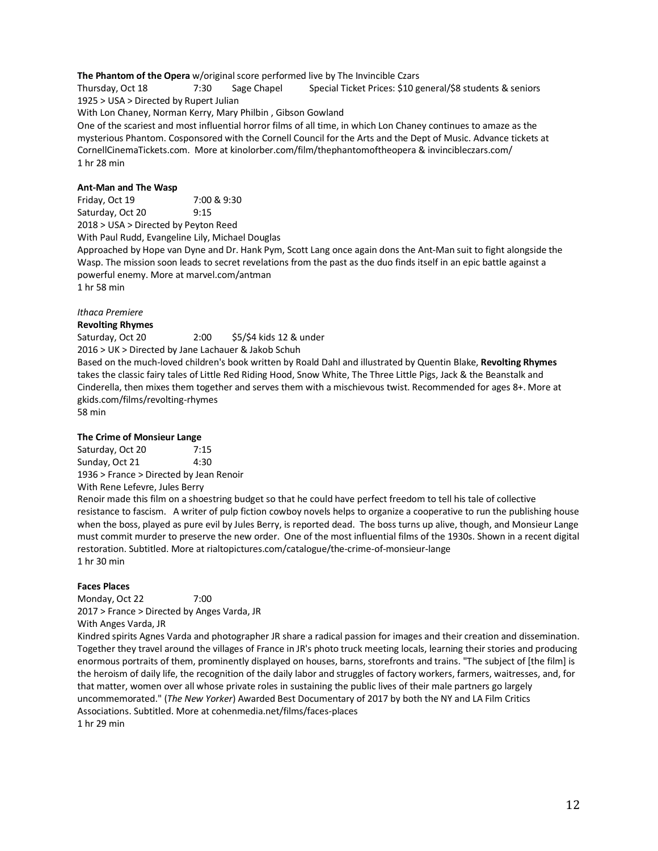**The Phantom of the Opera** w/original score performed live by The Invincible Czars

Thursday, Oct 18 7:30 Sage Chapel Special Ticket Prices: \$10 general/\$8 students & seniors 1925 > USA > Directed by Rupert Julian

With Lon Chaney, Norman Kerry, Mary Philbin , Gibson Gowland

One of the scariest and most influential horror films of all time, in which Lon Chaney continues to amaze as the mysterious Phantom. Cosponsored with the Cornell Council for the Arts and the Dept of Music. Advance tickets at CornellCinemaTickets.com. More at kinolorber.com/film/thephantomoftheopera & invincibleczars.com/ 1 hr 28 min

### **Ant-Man and The Wasp**

Friday, Oct 19 7:00 & 9:30 Saturday, Oct 20 9:15 2018 > USA > Directed by Peyton Reed

With Paul Rudd, Evangeline Lily, Michael Douglas

Approached by Hope van Dyne and Dr. Hank Pym, Scott Lang once again dons the Ant-Man suit to fight alongside the Wasp. The mission soon leads to secret revelations from the past as the duo finds itself in an epic battle against a powerful enemy. More at marvel.com/antman

1 hr 58 min

# *Ithaca Premiere*

### **Revolting Rhymes**

Saturday, Oct 20 2:00 \$5/\$4 kids 12 & under 2016 > UK > Directed by Jane Lachauer & Jakob Schuh Based on the much-loved children's book written by Roald Dahl and illustrated by Quentin Blake, **Revolting Rhymes** takes the classic fairy tales of Little Red Riding Hood, Snow White, The Three Little Pigs, Jack & the Beanstalk and Cinderella, then mixes them together and serves them with a mischievous twist. Recommended for ages 8+. More at gkids.com/films/revolting-rhymes 58 min

### **The Crime of Monsieur Lange**

Saturday, Oct 20 7:15 Sunday, Oct 21 4:30 1936 > France > Directed by Jean Renoir With Rene Lefevre, Jules Berry

Renoir made this film on a shoestring budget so that he could have perfect freedom to tell his tale of collective resistance to fascism. A writer of pulp fiction cowboy novels helps to organize a cooperative to run the publishing house when the boss, played as pure evil by Jules Berry, is reported dead. The boss turns up alive, though, and Monsieur Lange must commit murder to preserve the new order. One of the most influential films of the 1930s. Shown in a recent digital restoration. Subtitled. More at rialtopictures.com/catalogue/the-crime-of-monsieur-lange 1 hr 30 min

### **Faces Places**

Monday, Oct 22 7:00 2017 > France > Directed by Anges Varda, JR With Anges Varda, JR

Kindred spirits Agnes Varda and photographer JR share a radical passion for images and their creation and dissemination. Together they travel around the villages of France in JR's photo truck meeting locals, learning their stories and producing enormous portraits of them, prominently displayed on houses, barns, storefronts and trains. "The subject of [the film] is the heroism of daily life, the recognition of the daily labor and struggles of factory workers, farmers, waitresses, and, for that matter, women over all whose private roles in sustaining the public lives of their male partners go largely uncommemorated." (*The New Yorker*) Awarded Best Documentary of 2017 by both the NY and LA Film Critics Associations. Subtitled. More at cohenmedia.net/films/faces-places 1 hr 29 min

12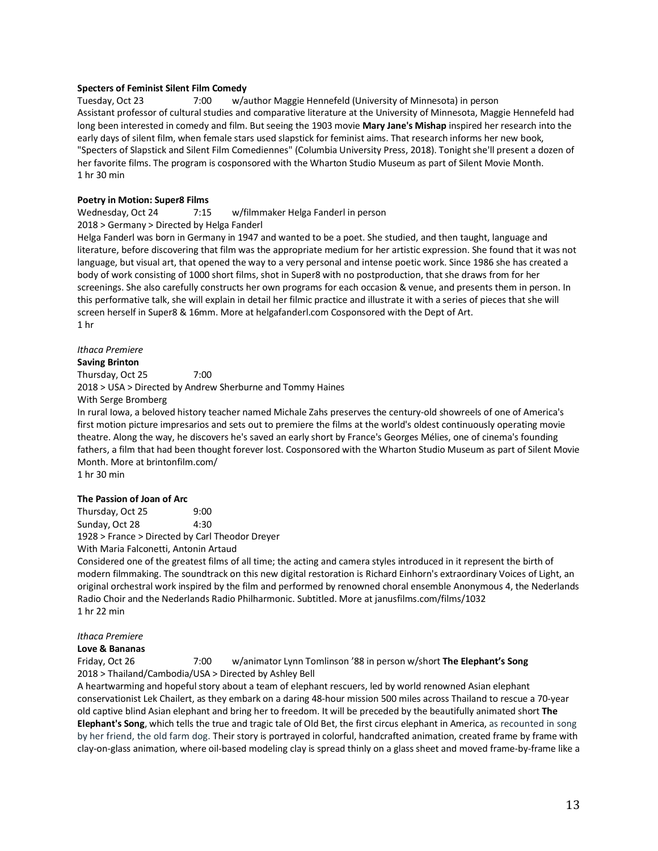### **Specters of Feminist Silent Film Comedy**

Tuesday, Oct 23 7:00 w/author Maggie Hennefeld (University of Minnesota) in person Assistant professor of cultural studies and comparative literature at the University of Minnesota, Maggie Hennefeld had long been interested in comedy and film. But seeing the 1903 movie **Mary Jane's Mishap** inspired her research into the early days of silent film, when female stars used slapstick for feminist aims. That research informs her new book, "Specters of Slapstick and Silent Film Comediennes" (Columbia University Press, 2018). Tonight she'll present a dozen of her favorite films. The program is cosponsored with the Wharton Studio Museum as part of Silent Movie Month. 1 hr 30 min

### **Poetry in Motion: Super8 Films**

### Wednesday, Oct 24 7:15 w/filmmaker Helga Fanderl in person 2018 > Germany > Directed by Helga Fanderl

Helga Fanderl was born in Germany in 1947 and wanted to be a poet. She studied, and then taught, language and literature, before discovering that film was the appropriate medium for her artistic expression. She found that it was not language, but visual art, that opened the way to a very personal and intense poetic work. Since 1986 she has created a body of work consisting of 1000 short films, shot in Super8 with no postproduction, that she draws from for her screenings. She also carefully constructs her own programs for each occasion & venue, and presents them in person. In this performative talk, she will explain in detail her filmic practice and illustrate it with a series of pieces that she will screen herself in Super8 & 16mm. More at helgafanderl.com Cosponsored with the Dept of Art. 1 hr

### *Ithaca Premiere*

**Saving Brinton**

Thursday, Oct 25 7:00 2018 > USA > Directed by Andrew Sherburne and Tommy Haines

With Serge Bromberg

In rural Iowa, a beloved history teacher named Michale Zahs preserves the century-old showreels of one of America's first motion picture impresarios and sets out to premiere the films at the world's oldest continuously operating movie theatre. Along the way, he discovers he's saved an early short by France's Georges Mélies, one of cinema's founding fathers, a film that had been thought forever lost. Cosponsored with the Wharton Studio Museum as part of Silent Movie Month. More at brintonfilm.com/

1 hr 30 min

# **The Passion of Joan of Arc**

Thursday, Oct 25 9:00 Sunday, Oct 28 4:30 1928 > France > Directed by Carl Theodor Dreyer

With Maria Falconetti, Antonin Artaud

Considered one of the greatest films of all time; the acting and camera styles introduced in it represent the birth of modern filmmaking. The soundtrack on this new digital restoration is Richard Einhorn's extraordinary Voices of Light, an original orchestral work inspired by the film and performed by renowned choral ensemble Anonymous 4, the Nederlands Radio Choir and the Nederlands Radio Philharmonic. Subtitled. More at janusfilms.com/films/1032 1 hr 22 min

# *Ithaca Premiere*

### **Love & Bananas**

Friday, Oct 26 7:00 w/animator Lynn Tomlinson '88 in person w/short **The Elephant's Song** 2018 > Thailand/Cambodia/USA > Directed by Ashley Bell

A heartwarming and hopeful story about a team of elephant rescuers, led by world renowned Asian elephant conservationist Lek Chailert, as they embark on a daring 48-hour mission 500 miles across Thailand to rescue a 70-year old captive blind Asian elephant and bring her to freedom. It will be preceded by the beautifully animated short **The Elephant's Song**, which tells the true and tragic tale of Old Bet, the first circus elephant in America, as recounted in song by her friend, the old farm dog. Their story is portrayed in colorful, handcrafted animation, created frame by frame with clay-on-glass animation, where oil-based modeling clay is spread thinly on a glass sheet and moved frame-by-frame like a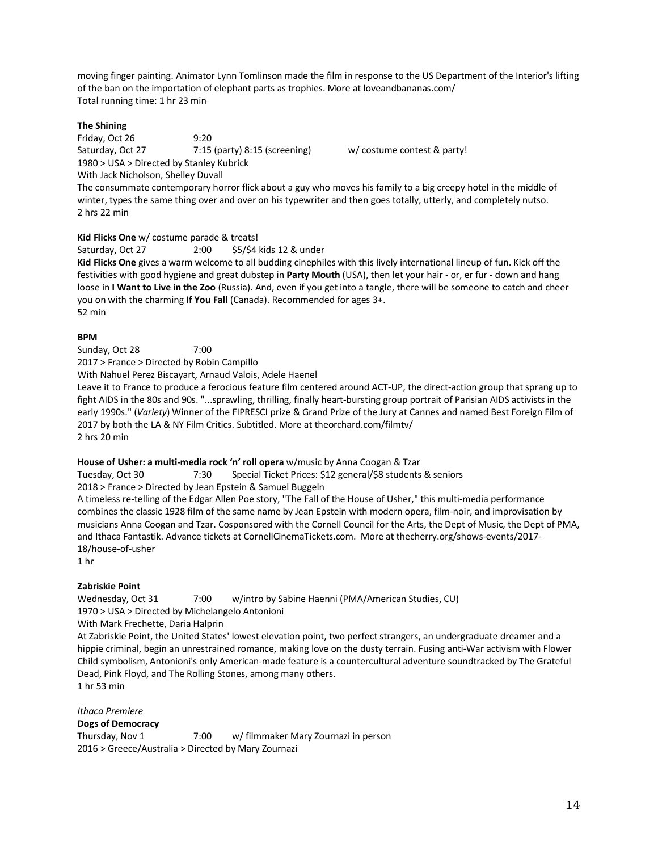moving finger painting. Animator Lynn Tomlinson made the film in response to the US Department of the Interior's lifting of the ban on the importation of elephant parts as trophies. More at loveandbananas.com/ Total running time: 1 hr 23 min

### **The Shining**

Friday, Oct 26 9:20 Saturday, Oct 27 7:15 (party) 8:15 (screening) w/ costume contest & party! 1980 > USA > Directed by Stanley Kubrick

With Jack Nicholson, Shelley Duvall

The consummate contemporary horror flick about a guy who moves his family to a big creepy hotel in the middle of winter, types the same thing over and over on his typewriter and then goes totally, utterly, and completely nutso. 2 hrs 22 min

### **Kid Flicks One** w/ costume parade & treats!

Saturday, Oct 27 2:00 \$5/\$4 kids 12 & under

**Kid Flicks One** gives a warm welcome to all budding cinephiles with this lively international lineup of fun. Kick off the festivities with good hygiene and great dubstep in **Party Mouth** (USA), then let your hair - or, er fur - down and hang loose in **I Want to Live in the Zoo** (Russia). And, even if you get into a tangle, there will be someone to catch and cheer you on with the charming **If You Fall** (Canada). Recommended for ages 3+. 52 min

### **BPM**

Sunday, Oct 28 7:00

2017 > France > Directed by Robin Campillo

With Nahuel Perez Biscayart, Arnaud Valois, Adele Haenel

Leave it to France to produce a ferocious feature film centered around ACT-UP, the direct-action group that sprang up to fight AIDS in the 80s and 90s. "...sprawling, thrilling, finally heart-bursting group portrait of Parisian AIDS activists in the early 1990s." (*Variety*) Winner of the FIPRESCI prize & Grand Prize of the Jury at Cannes and named Best Foreign Film of 2017 by both the LA & NY Film Critics. Subtitled. More at theorchard.com/filmtv/ 2 hrs 20 min

# **House of Usher: a multi-media rock 'n' roll opera** w/music by Anna Coogan & Tzar

Tuesday, Oct 30 7:30 Special Ticket Prices: \$12 general/\$8 students & seniors

# 2018 > France > Directed by Jean Epstein & Samuel Buggeln

A timeless re-telling of the Edgar Allen Poe story, "The Fall of the House of Usher," this multi-media performance combines the classic 1928 film of the same name by Jean Epstein with modern opera, film-noir, and improvisation by musicians Anna Coogan and Tzar. Cosponsored with the Cornell Council for the Arts, the Dept of Music, the Dept of PMA, and Ithaca Fantastik. Advance tickets at CornellCinemaTickets.com. More at thecherry.org/shows-events/2017- 18/house-of-usher

1 hr

# **Zabriskie Point**

Wednesday, Oct 31 7:00 w/intro by Sabine Haenni (PMA/American Studies, CU) 1970 > USA > Directed by Michelangelo Antonioni With Mark Frechette, Daria Halprin

At Zabriskie Point, the United States' lowest elevation point, two perfect strangers, an undergraduate dreamer and a hippie criminal, begin an unrestrained romance, making love on the dusty terrain. Fusing anti-War activism with Flower Child symbolism, Antonioni's only American-made feature is a countercultural adventure soundtracked by The Grateful Dead, Pink Floyd, and The Rolling Stones, among many others.

1 hr 53 min

*Ithaca Premiere* **Dogs of Democracy** Thursday, Nov 1 7:00 w/ filmmaker Mary Zournazi in person 2016 > Greece/Australia > Directed by Mary Zournazi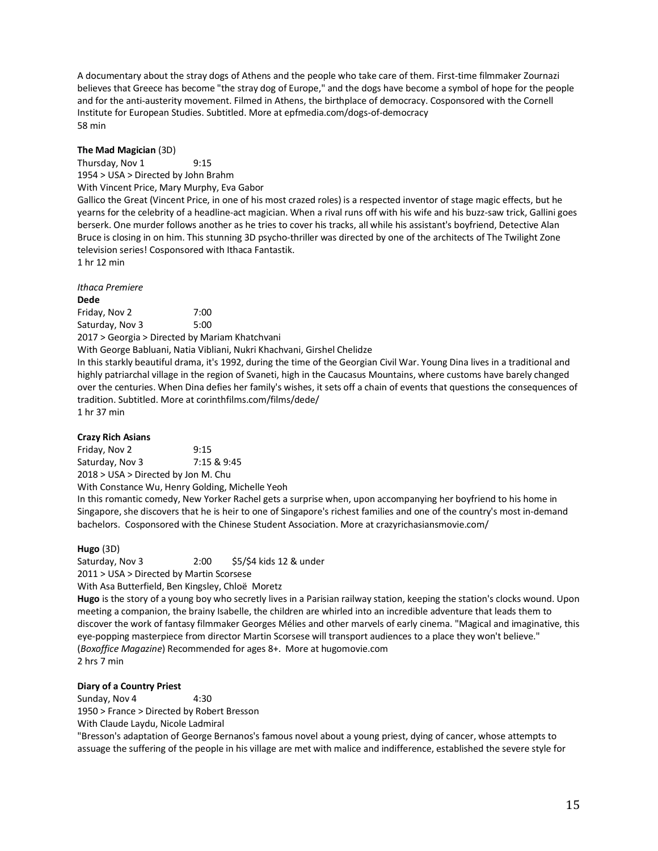A documentary about the stray dogs of Athens and the people who take care of them. First-time filmmaker Zournazi believes that Greece has become "the stray dog of Europe," and the dogs have become a symbol of hope for the people and for the anti-austerity movement. Filmed in Athens, the birthplace of democracy. Cosponsored with the Cornell Institute for European Studies. Subtitled. More at epfmedia.com/dogs-of-democracy 58 min

### **The Mad Magician** (3D)

Thursday, Nov 1 9:15 1954 > USA > Directed by John Brahm With Vincent Price, Mary Murphy, Eva Gabor Gallico the Great (Vincent Price, in one of his most crazed roles) is a respected inventor of stage magic effects, but he

yearns for the celebrity of a headline-act magician. When a rival runs off with his wife and his buzz-saw trick, Gallini goes berserk. One murder follows another as he tries to cover his tracks, all while his assistant's boyfriend, Detective Alan Bruce is closing in on him. This stunning 3D psycho-thriller was directed by one of the architects of The Twilight Zone television series! Cosponsored with Ithaca Fantastik.

1 hr 12 min

*Ithaca Premiere* **Dede** Friday, Nov 2 7:00 Saturday, Nov 3 5:00 2017 > Georgia > Directed by Mariam Khatchvani With George Babluani, Natia Vibliani, Nukri Khachvani, Girshel Chelidze In this starkly beautiful drama, it's 1992, during the time of the Georgian Civil War. Young Dina lives in a traditional and

highly patriarchal village in the region of Svaneti, high in the Caucasus Mountains, where customs have barely changed over the centuries. When Dina defies her family's wishes, it sets off a chain of events that questions the consequences of tradition. Subtitled. More at corinthfilms.com/films/dede/ 1 hr 37 min

### **Crazy Rich Asians**

Friday, Nov 2 9:15 Saturday, Nov 3 7:15 & 9:45 2018 > USA > Directed by Jon M. Chu

With Constance Wu, Henry Golding, Michelle Yeoh

In this romantic comedy, New Yorker Rachel gets a surprise when, upon accompanying her boyfriend to his home in Singapore, she discovers that he is heir to one of Singapore's richest families and one of the country's most in-demand bachelors. Cosponsored with the Chinese Student Association. More at crazyrichasiansmovie.com/

### **Hugo** (3D)

Saturday, Nov 3 2:00 \$5/\$4 kids 12 & under 2011 > USA > Directed by Martin Scorsese

With Asa Butterfield, Ben Kingsley, Chloë Moretz

**Hugo** is the story of a young boy who secretly lives in a Parisian railway station, keeping the station's clocks wound. Upon meeting a companion, the brainy Isabelle, the children are whirled into an incredible adventure that leads them to discover the work of fantasy filmmaker Georges Mélies and other marvels of early cinema. "Magical and imaginative, this eye-popping masterpiece from director Martin Scorsese will transport audiences to a place they won't believe." (*Boxoffice Magazine*) Recommended for ages 8+. More at hugomovie.com 2 hrs 7 min

### **Diary of a Country Priest**

Sunday, Nov 4 4:30

1950 > France > Directed by Robert Bresson With Claude Laydu, Nicole Ladmiral

"Bresson's adaptation of George Bernanos's famous novel about a young priest, dying of cancer, whose attempts to assuage the suffering of the people in his village are met with malice and indifference, established the severe style for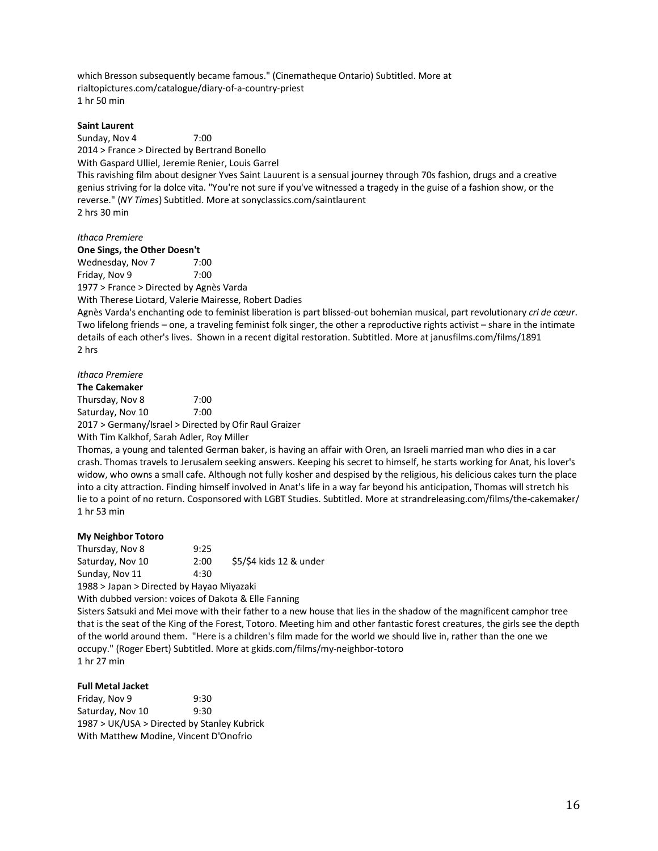which Bresson subsequently became famous." (Cinematheque Ontario) Subtitled. More at rialtopictures.com/catalogue/diary-of-a-country-priest 1 hr 50 min

#### **Saint Laurent**

Sunday, Nov 4 7:00

2014 > France > Directed by Bertrand Bonello

With Gaspard Ulliel, Jeremie Renier, Louis Garrel

This ravishing film about designer Yves Saint Lauurent is a sensual journey through 70s fashion, drugs and a creative genius striving for la dolce vita. "You're not sure if you've witnessed a tragedy in the guise of a fashion show, or the reverse." (*NY Times*) Subtitled. More at sonyclassics.com/saintlaurent 2 hrs 30 min

#### *Ithaca Premiere*

**One Sings, the Other Doesn't**

Wednesday, Nov 7 7:00 Friday, Nov 9 7:00

1977 > France > Directed by Agnès Varda

With Therese Liotard, Valerie Mairesse, Robert Dadies

Agnès Varda's enchanting ode to feminist liberation is part blissed-out bohemian musical, part revolutionary *cri de cœur*. Two lifelong friends – one, a traveling feminist folk singer, the other a reproductive rights activist – share in the intimate details of each other's lives. Shown in a recent digital restoration. Subtitled. More at janusfilms.com/films/1891 2 hrs

### *Ithaca Premiere*

**The Cakemaker** Thursday, Nov 8 7:00 Saturday, Nov 10 7:00 2017 > Germany/Israel > Directed by Ofir Raul Graizer With Tim Kalkhof, Sarah Adler, Roy Miller

Thomas, a young and talented German baker, is having an affair with Oren, an Israeli married man who dies in a car crash. Thomas travels to Jerusalem seeking answers. Keeping his secret to himself, he starts working for Anat, his lover's widow, who owns a small cafe. Although not fully kosher and despised by the religious, his delicious cakes turn the place into a city attraction. Finding himself involved in Anat's life in a way far beyond his anticipation, Thomas will stretch his lie to a point of no return. Cosponsored with LGBT Studies. Subtitled. More at strandreleasing.com/films/the-cakemaker/ 1 hr 53 min

### **My Neighbor Totoro**

Thursday, Nov 8 9:25 Saturday, Nov 10 2:00 \$5/\$4 kids 12 & under Sunday, Nov 11 4:30

1988 > Japan > Directed by Hayao Miyazaki

With dubbed version: voices of Dakota & Elle Fanning

Sisters Satsuki and Mei move with their father to a new house that lies in the shadow of the magnificent camphor tree that is the seat of the King of the Forest, Totoro. Meeting him and other fantastic forest creatures, the girls see the depth of the world around them. "Here is a children's film made for the world we should live in, rather than the one we occupy." (Roger Ebert) Subtitled. More at gkids.com/films/my-neighbor-totoro 1 hr 27 min

### **Full Metal Jacket**

Friday, Nov 9 9:30 Saturday, Nov 10 9:30 1987 > UK/USA > Directed by Stanley Kubrick With Matthew Modine, Vincent D'Onofrio